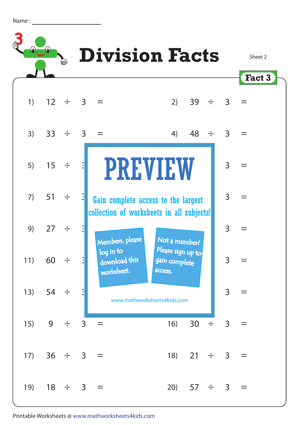